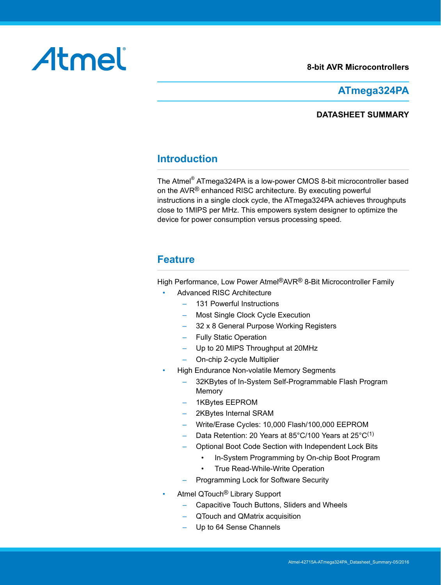#### **8-bit AVR Microcontrollers**

# Atmel

## **ATmega324PA**

#### **DATASHEET SUMMARY**

## **Introduction**

The Atmel® ATmega324PA is a low-power CMOS 8-bit microcontroller based on the AVR® enhanced RISC architecture. By executing powerful instructions in a single clock cycle, the ATmega324PA achieves throughputs close to 1MIPS per MHz. This empowers system designer to optimize the device for power consumption versus processing speed.

## **Feature**

High Performance, Low Power Atmel®AVR® 8-Bit Microcontroller Family

- Advanced RISC Architecture
	- 131 Powerful Instructions
	- Most Single Clock Cycle Execution
	- 32 x 8 General Purpose Working Registers
	- Fully Static Operation
	- Up to 20 MIPS Throughput at 20MHz
	- On-chip 2-cycle Multiplier
- High Endurance Non-volatile Memory Segments
	- 32KBytes of In-System Self-Programmable Flash Program Memory
	- 1KBytes EEPROM
	- 2KBytes Internal SRAM
	- Write/Erase Cycles: 10,000 Flash/100,000 EEPROM
	- Data Retention: 20 Years at 85°C/100 Years at 25°C<sup>(1)</sup>
	- Optional Boot Code Section with Independent Lock Bits
		- In-System Programming by On-chip Boot Program
		- True Read-While-Write Operation
	- Programming Lock for Software Security
- Atmel QTouch® Library Support
	- Capacitive Touch Buttons, Sliders and Wheels
	- QTouch and QMatrix acquisition
	- Up to 64 Sense Channels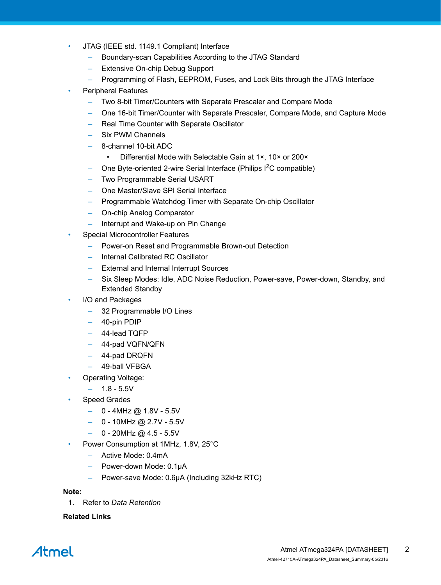- JTAG (IEEE std. 1149.1 Compliant) Interface
	- Boundary-scan Capabilities According to the JTAG Standard
	- Extensive On-chip Debug Support
	- Programming of Flash, EEPROM, Fuses, and Lock Bits through the JTAG Interface
- Peripheral Features
	- Two 8-bit Timer/Counters with Separate Prescaler and Compare Mode
	- One 16-bit Timer/Counter with Separate Prescaler, Compare Mode, and Capture Mode
	- Real Time Counter with Separate Oscillator
	- Six PWM Channels
	- 8-channel 10-bit ADC
		- Differential Mode with Selectable Gain at 1×, 10× or 200×
	- One Byte-oriented 2-wire Serial Interface (Philips  $1^2C$  compatible)
	- Two Programmable Serial USART
	- One Master/Slave SPI Serial Interface
	- Programmable Watchdog Timer with Separate On-chip Oscillator
	- On-chip Analog Comparator
	- Interrupt and Wake-up on Pin Change
- Special Microcontroller Features
	- Power-on Reset and Programmable Brown-out Detection
	- Internal Calibrated RC Oscillator
	- External and Internal Interrupt Sources
	- Six Sleep Modes: Idle, ADC Noise Reduction, Power-save, Power-down, Standby, and Extended Standby
- I/O and Packages
	- 32 Programmable I/O Lines
	- 40-pin PDIP
	- 44-lead TQFP
	- 44-pad VQFN/QFN
	- 44-pad DRQFN
	- 49-ball VFBGA
	- Operating Voltage:
		- $1.8 5.5V$
	- Speed Grades
		- $-$  0 4MHz @ 1.8V 5.5V
		- $-$  0 10MHz @ 2.7V 5.5V
		- $-$  0 20MHz @ 4.5 5.5V
- Power Consumption at 1MHz, 1.8V, 25°C
	- Active Mode: 0.4mA
	- Power-down Mode: 0.1μA
	- Power-save Mode: 0.6μA (Including 32kHz RTC)

**Note:** 

1. Refer to *Data Retention*

#### **Related Links**

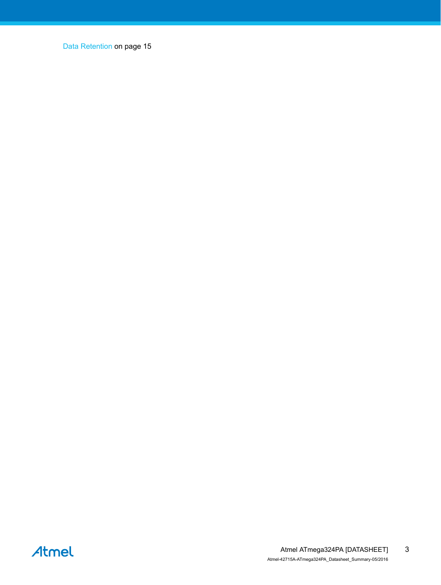[Data Retention](#page-14-0) on page 15

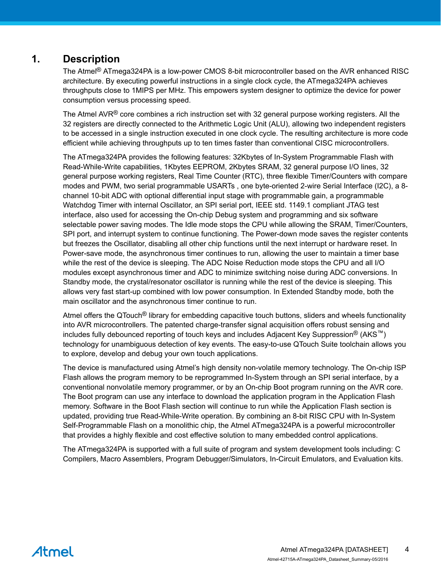## **1. Description**

The Atmel® ATmega324PA is a low-power CMOS 8-bit microcontroller based on the AVR enhanced RISC architecture. By executing powerful instructions in a single clock cycle, the ATmega324PA achieves throughputs close to 1MIPS per MHz. This empowers system designer to optimize the device for power consumption versus processing speed.

The Atmel AVR<sup>®</sup> core combines a rich instruction set with 32 general purpose working registers. All the 32 registers are directly connected to the Arithmetic Logic Unit (ALU), allowing two independent registers to be accessed in a single instruction executed in one clock cycle. The resulting architecture is more code efficient while achieving throughputs up to ten times faster than conventional CISC microcontrollers.

The ATmega324PA provides the following features: 32Kbytes of In-System Programmable Flash with Read-While-Write capabilities, 1Kbytes EEPROM, 2Kbytes SRAM, 32 general purpose I/O lines, 32 general purpose working registers, Real Time Counter (RTC), three flexible Timer/Counters with compare modes and PWM, two serial programmable USARTs , one byte-oriented 2-wire Serial Interface (I2C), a 8 channel 10-bit ADC with optional differential input stage with programmable gain, a programmable Watchdog Timer with internal Oscillator, an SPI serial port, IEEE std. 1149.1 compliant JTAG test interface, also used for accessing the On-chip Debug system and programming and six software selectable power saving modes. The Idle mode stops the CPU while allowing the SRAM, Timer/Counters, SPI port, and interrupt system to continue functioning. The Power-down mode saves the register contents but freezes the Oscillator, disabling all other chip functions until the next interrupt or hardware reset. In Power-save mode, the asynchronous timer continues to run, allowing the user to maintain a timer base while the rest of the device is sleeping. The ADC Noise Reduction mode stops the CPU and all I/O modules except asynchronous timer and ADC to minimize switching noise during ADC conversions. In Standby mode, the crystal/resonator oscillator is running while the rest of the device is sleeping. This allows very fast start-up combined with low power consumption. In Extended Standby mode, both the main oscillator and the asynchronous timer continue to run.

Atmel offers the QTouch® library for embedding capacitive touch buttons, sliders and wheels functionality into AVR microcontrollers. The patented charge-transfer signal acquisition offers robust sensing and includes fully debounced reporting of touch keys and includes Adjacent Key Suppression® (AKS™) technology for unambiguous detection of key events. The easy-to-use QTouch Suite toolchain allows you to explore, develop and debug your own touch applications.

The device is manufactured using Atmel's high density non-volatile memory technology. The On-chip ISP Flash allows the program memory to be reprogrammed In-System through an SPI serial interface, by a conventional nonvolatile memory programmer, or by an On-chip Boot program running on the AVR core. The Boot program can use any interface to download the application program in the Application Flash memory. Software in the Boot Flash section will continue to run while the Application Flash section is updated, providing true Read-While-Write operation. By combining an 8-bit RISC CPU with In-System Self-Programmable Flash on a monolithic chip, the Atmel ATmega324PA is a powerful microcontroller that provides a highly flexible and cost effective solution to many embedded control applications.

The ATmega324PA is supported with a full suite of program and system development tools including: C Compilers, Macro Assemblers, Program Debugger/Simulators, In-Circuit Emulators, and Evaluation kits.

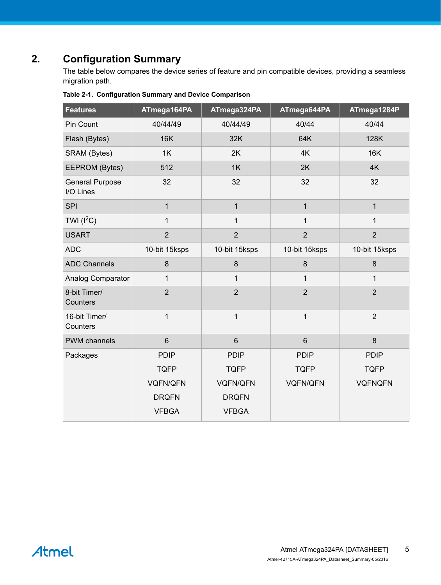# **2. Configuration Summary**

The table below compares the device series of feature and pin compatible devices, providing a seamless migration path.

| <b>Features</b>                     | ATmega164PA     | ATmega324PA     | ATmega644PA     | ATmega1284P    |
|-------------------------------------|-----------------|-----------------|-----------------|----------------|
| Pin Count                           | 40/44/49        | 40/44/49        | 40/44           | 40/44          |
| Flash (Bytes)                       | <b>16K</b>      | 32K             | 64K             | 128K           |
| SRAM (Bytes)                        | 1K              | 2K              | 4K              | <b>16K</b>     |
| EEPROM (Bytes)                      | 512             | 1K              | 2K              | 4K             |
| <b>General Purpose</b><br>I/O Lines | 32              | 32              | 32              | 32             |
| <b>SPI</b>                          | $\mathbf{1}$    | $\mathbf{1}$    | $\mathbf{1}$    | $\mathbf{1}$   |
| TWI $(l^2C)$                        | $\mathbf{1}$    | $\mathbf{1}$    | $\mathbf{1}$    | $\mathbf{1}$   |
| <b>USART</b>                        | $\overline{2}$  | $\overline{2}$  | $\overline{2}$  | $\overline{2}$ |
| <b>ADC</b>                          | 10-bit 15ksps   | 10-bit 15ksps   | 10-bit 15ksps   | 10-bit 15ksps  |
| <b>ADC Channels</b>                 | 8               | $\bf 8$         | 8               | $\bf 8$        |
| Analog Comparator                   | $\mathbf{1}$    | $\mathbf{1}$    | $\mathbf{1}$    | 1              |
| 8-bit Timer/<br>Counters            | $\overline{2}$  | $\overline{2}$  | $\overline{2}$  | $\overline{2}$ |
| 16-bit Timer/<br>Counters           | $\mathbf{1}$    | $\mathbf{1}$    | $\mathbf{1}$    | $\overline{2}$ |
| <b>PWM</b> channels                 | $6\phantom{1}$  | $6\phantom{a}$  | $6\phantom{1}$  | $\delta$       |
| Packages                            | <b>PDIP</b>     | <b>PDIP</b>     | <b>PDIP</b>     | <b>PDIP</b>    |
|                                     | <b>TQFP</b>     | <b>TQFP</b>     | <b>TQFP</b>     | <b>TQFP</b>    |
|                                     | <b>VQFN/QFN</b> | <b>VQFN/QFN</b> | <b>VQFN/QFN</b> | <b>VQFNQFN</b> |
|                                     | <b>DRQFN</b>    | <b>DRQFN</b>    |                 |                |
|                                     | <b>VFBGA</b>    | <b>VFBGA</b>    |                 |                |

**Table 2-1. Configuration Summary and Device Comparison**

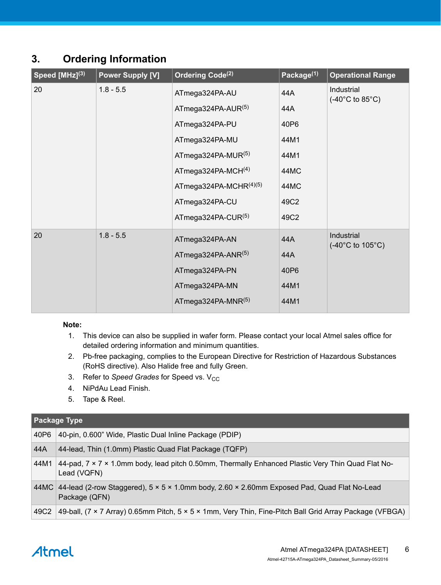## **3. Ordering Information**

| Speed [MHz] <sup>(3)</sup> | <b>Power Supply [V]</b> | Ordering Code <sup>(2)</sup> | Package <sup>(1)</sup> | <b>Operational Range</b>                                |
|----------------------------|-------------------------|------------------------------|------------------------|---------------------------------------------------------|
| 20                         | $1.8 - 5.5$             | ATmega324PA-AU               | 44A                    | Industrial<br>$(-40^{\circ}$ C to 85 $^{\circ}$ C)      |
|                            |                         | ATmega324PA-AUR $(5)$        | 44A                    |                                                         |
|                            |                         | ATmega324PA-PU               | 40P6                   |                                                         |
|                            |                         | ATmega324PA-MU               | 44M1                   |                                                         |
|                            |                         | ATmega324PA-MUR $(5)$        | 44M1                   |                                                         |
|                            |                         | ATmega324PA-MCH $(4)$        | 44MC                   |                                                         |
|                            |                         | ATmega324PA-MCHR(4)(5)       | 44MC                   |                                                         |
|                            |                         | ATmega324PA-CU               | 49C2                   |                                                         |
|                            |                         | ATmega324PA-CUR $(5)$        | 49C2                   |                                                         |
| 20                         | $1.8 - 5.5$             | ATmega324PA-AN               | 44A                    | Industrial<br>$(-40^{\circ}C \text{ to } 105^{\circ}C)$ |
|                            |                         | ATmega324PA-ANR $(5)$        | 44A                    |                                                         |
|                            |                         | ATmega324PA-PN               | 40P6                   |                                                         |
|                            |                         | ATmega324PA-MN               | 44M1                   |                                                         |
|                            |                         | ATmega324PA-MNR $(5)$        | 44M1                   |                                                         |

#### **Note:**

- 1. This device can also be supplied in wafer form. Please contact your local Atmel sales office for detailed ordering information and minimum quantities.
- 2. Pb-free packaging, complies to the European Directive for Restriction of Hazardous Substances (RoHS directive). Also Halide free and fully Green.
- 3. Refer to *Speed Grades* for Speed vs. V<sub>CC</sub>
- 4. NiPdAu Lead Finish.
- 5. Tape & Reel.

#### **Package Type**

| 40P6 | 40-pin, 0.600" Wide, Plastic Dual Inline Package (PDIP)                                                           |
|------|-------------------------------------------------------------------------------------------------------------------|
| 44A  | 44-lead, Thin (1.0mm) Plastic Quad Flat Package (TQFP)                                                            |
| 44M1 | 44-pad, 7 x 7 x 1.0mm body, lead pitch 0.50mm, Thermally Enhanced Plastic Very Thin Quad Flat No-<br>Lead (VQFN)  |
|      | 44MC 44-lead (2-row Staggered), 5 x 5 x 1.0mm body, 2.60 x 2.60mm Exposed Pad, Quad Flat No-Lead<br>Package (QFN) |
| 49C2 | 49-ball, (7 × 7 Array) 0.65mm Pitch, 5 × 5 × 1mm, Very Thin, Fine-Pitch Ball Grid Array Package (VFBGA)           |

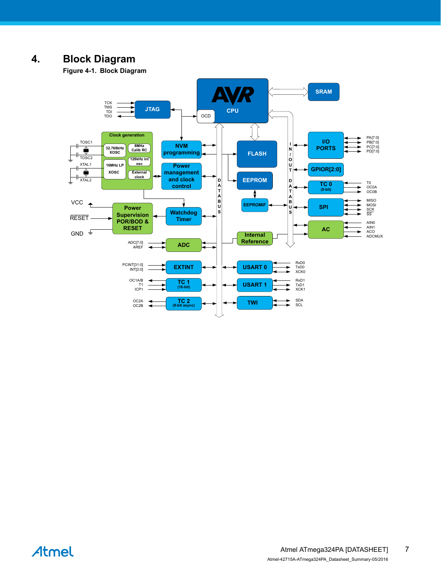## **4. Block Diagram**

**Figure 4-1. Block Diagram**



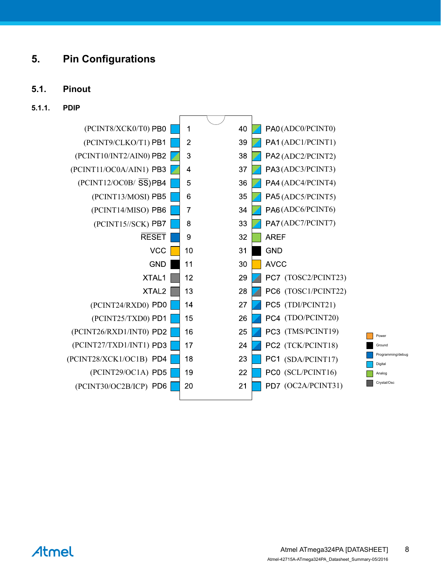## **5. Pin Configurations**

#### **5.1. Pinout**

#### **5.1.1. PDIP**



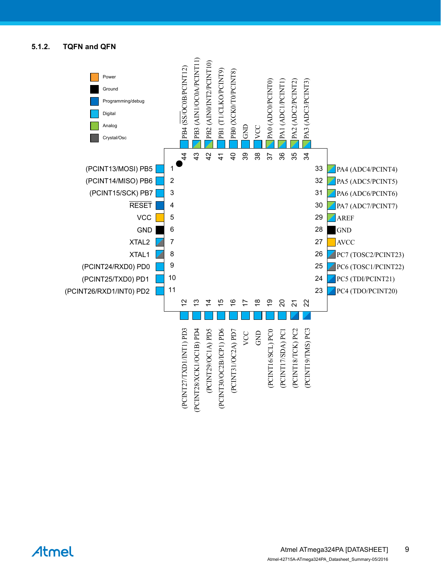#### **5.1.2. TQFN and QFN**

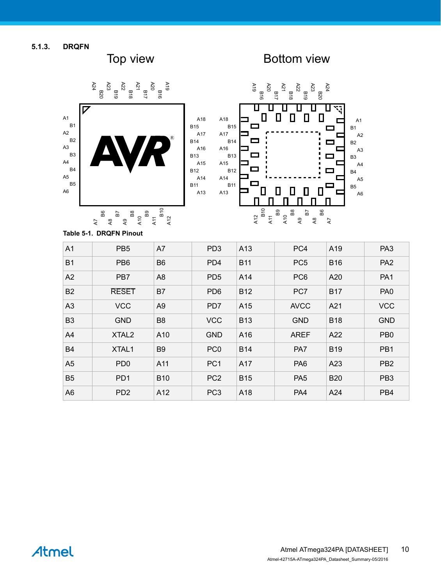**5.1.3. DRQFN**

Top view **Bottom view** 



**Table 5-1. DRQFN Pinout**

| A1             | PB <sub>5</sub>   | A7             | PD <sub>3</sub> | A13        | PC4             | A19        | PA <sub>3</sub> |
|----------------|-------------------|----------------|-----------------|------------|-----------------|------------|-----------------|
| <b>B1</b>      | PB <sub>6</sub>   | B <sub>6</sub> | PD4             | <b>B11</b> | PC <sub>5</sub> | <b>B16</b> | PA <sub>2</sub> |
| A2             | PB <sub>7</sub>   | A8             | PD <sub>5</sub> | A14        | PC <sub>6</sub> | A20        | PA <sub>1</sub> |
| <b>B2</b>      | <b>RESET</b>      | B7             | PD <sub>6</sub> | <b>B12</b> | PC7             | <b>B17</b> | PA <sub>0</sub> |
| A <sub>3</sub> | <b>VCC</b>        | A <sub>9</sub> | PD7             | A15        | <b>AVCC</b>     | A21        | <b>VCC</b>      |
| B <sub>3</sub> | <b>GND</b>        | B <sub>8</sub> | <b>VCC</b>      | <b>B13</b> | <b>GND</b>      | <b>B18</b> | <b>GND</b>      |
| A4             | XTAL <sub>2</sub> | A10            | <b>GND</b>      | A16        | <b>AREF</b>     | A22        | PB <sub>0</sub> |
| <b>B4</b>      | XTAL1             | B <sub>9</sub> | PC <sub>0</sub> | <b>B14</b> | PA7             | <b>B19</b> | PB1             |
| A <sub>5</sub> | PD <sub>0</sub>   | A11            | PC <sub>1</sub> | A17        | PA <sub>6</sub> | A23        | PB <sub>2</sub> |
| <b>B5</b>      | PD <sub>1</sub>   | <b>B10</b>     | PC <sub>2</sub> | <b>B15</b> | PA <sub>5</sub> | <b>B20</b> | PB <sub>3</sub> |
| A6             | PD <sub>2</sub>   | A12            | PC <sub>3</sub> | A18        | PA4             | A24        | PB4             |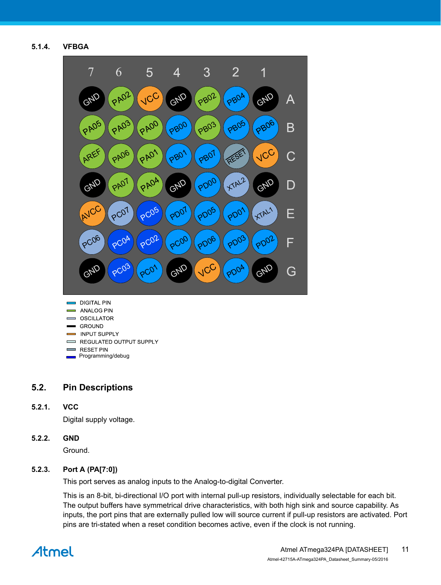**5.1.4. VFBGA**



- **DIGITAL PIN Communist Street ANALOG PIN College** OSCILLATOR **GROUND INPUT SUPPLY** REGULATED OUTPUT SUPPLY RESET PIN
- Programming/debug

#### **5.2. Pin Descriptions**

#### **5.2.1. VCC**

Digital supply voltage.

#### **5.2.2. GND**

Ground.

#### **5.2.3. Port A (PA[7:0])**

This port serves as analog inputs to the Analog-to-digital Converter.

This is an 8-bit, bi-directional I/O port with internal pull-up resistors, individually selectable for each bit. The output buffers have symmetrical drive characteristics, with both high sink and source capability. As inputs, the port pins that are externally pulled low will source current if pull-up resistors are activated. Port pins are tri-stated when a reset condition becomes active, even if the clock is not running.

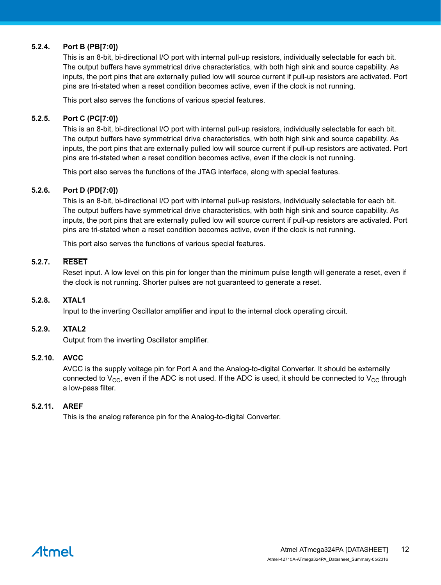#### **5.2.4. Port B (PB[7:0])**

This is an 8-bit, bi-directional I/O port with internal pull-up resistors, individually selectable for each bit. The output buffers have symmetrical drive characteristics, with both high sink and source capability. As inputs, the port pins that are externally pulled low will source current if pull-up resistors are activated. Port pins are tri-stated when a reset condition becomes active, even if the clock is not running.

This port also serves the functions of various special features.

#### **5.2.5. Port C (PC[7:0])**

This is an 8-bit, bi-directional I/O port with internal pull-up resistors, individually selectable for each bit. The output buffers have symmetrical drive characteristics, with both high sink and source capability. As inputs, the port pins that are externally pulled low will source current if pull-up resistors are activated. Port pins are tri-stated when a reset condition becomes active, even if the clock is not running.

This port also serves the functions of the JTAG interface, along with special features.

#### **5.2.6. Port D (PD[7:0])**

This is an 8-bit, bi-directional I/O port with internal pull-up resistors, individually selectable for each bit. The output buffers have symmetrical drive characteristics, with both high sink and source capability. As inputs, the port pins that are externally pulled low will source current if pull-up resistors are activated. Port pins are tri-stated when a reset condition becomes active, even if the clock is not running.

This port also serves the functions of various special features.

#### **5.2.7. RESET**

Reset input. A low level on this pin for longer than the minimum pulse length will generate a reset, even if the clock is not running. Shorter pulses are not guaranteed to generate a reset.

#### **5.2.8. XTAL1**

Input to the inverting Oscillator amplifier and input to the internal clock operating circuit.

#### **5.2.9. XTAL2**

Output from the inverting Oscillator amplifier.

#### **5.2.10. AVCC**

AVCC is the supply voltage pin for Port A and the Analog-to-digital Converter. It should be externally connected to  $V_{CC}$ , even if the ADC is not used. If the ADC is used, it should be connected to  $V_{CC}$  through a low-pass filter.

#### **5.2.11. AREF**

This is the analog reference pin for the Analog-to-digital Converter.

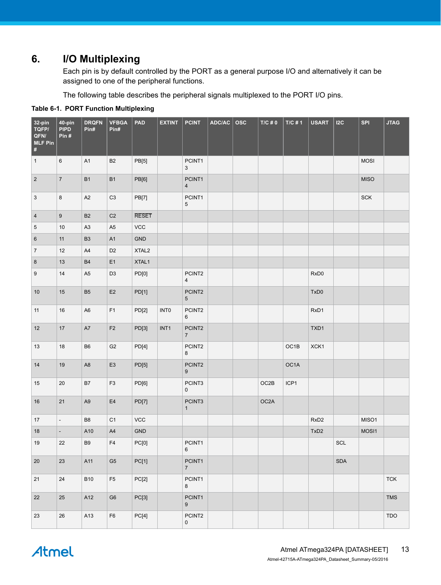## **6. I/O Multiplexing**

Each pin is by default controlled by the PORT as a general purpose I/O and alternatively it can be assigned to one of the peripheral functions.

The following table describes the peripheral signals multiplexed to the PORT I/O pins.

| 32-pin<br>TQFP/<br>QFN/<br><b>MLF Pin</b><br>$\pmb{\sharp}$ | 40-pin<br><b>PIPD</b><br>Pin# | <b>DRQFN</b><br>Pin# | <b>VFBGA</b><br>Pin# | <b>PAD</b>        | <b>EXTINT</b>    | <b>PCINT</b>                      | ADC/AC | $\mathop{\sf osc}\nolimits$ | $T/C \text{ } \# \text{ } 0$ | $T/C \# 1$        | <b>USART</b>     | I2C                         | SPI         | <b>JTAG</b> |
|-------------------------------------------------------------|-------------------------------|----------------------|----------------------|-------------------|------------------|-----------------------------------|--------|-----------------------------|------------------------------|-------------------|------------------|-----------------------------|-------------|-------------|
| $\mathbf{1}$                                                | 6                             | A1                   | <b>B2</b>            | PB[5]             |                  | PCINT1<br>3                       |        |                             |                              |                   |                  |                             | <b>MOSI</b> |             |
| $\overline{2}$                                              | $\overline{7}$                | <b>B1</b>            | B1                   | PB[6]             |                  | PCINT1<br>$\sqrt{4}$              |        |                             |                              |                   |                  |                             | <b>MISO</b> |             |
| 3                                                           | 8                             | A2                   | $\rm C3$             | PB[7]             |                  | PCINT1<br>$\mathbf 5$             |        |                             |                              |                   |                  |                             | SCK         |             |
| $\overline{4}$                                              | $\boldsymbol{9}$              | B <sub>2</sub>       | C <sub>2</sub>       | <b>RESET</b>      |                  |                                   |        |                             |                              |                   |                  |                             |             |             |
| $\sqrt{5}$                                                  | $10$                          | A <sub>3</sub>       | A <sub>5</sub>       | <b>VCC</b>        |                  |                                   |        |                             |                              |                   |                  |                             |             |             |
| $\,6$                                                       | 11                            | B <sub>3</sub>       | A1                   | GND               |                  |                                   |        |                             |                              |                   |                  |                             |             |             |
| $\overline{7}$                                              | 12                            | A4                   | D <sub>2</sub>       | XTAL <sub>2</sub> |                  |                                   |        |                             |                              |                   |                  |                             |             |             |
| $\bf 8$                                                     | $13$                          | B <sub>4</sub>       | E1                   | XTAL1             |                  |                                   |        |                             |                              |                   |                  |                             |             |             |
| $\boldsymbol{9}$                                            | 14                            | A <sub>5</sub>       | D <sub>3</sub>       | PD[0]             |                  | PCINT2<br>$\overline{\mathbf{4}}$ |        |                             |                              |                   | RxD0             |                             |             |             |
| 10                                                          | $15\,$                        | B <sub>5</sub>       | $\mathsf{E2}$        | PD[1]             |                  | PCINT2<br>$5\phantom{.0}$         |        |                             |                              |                   | TxD0             |                             |             |             |
| 11                                                          | $16\,$                        | A <sub>6</sub>       | F1                   | PD[2]             | INT <sub>0</sub> | PCINT2<br>6                       |        |                             |                              |                   | RxD1             |                             |             |             |
| 12                                                          | $17\,$                        | $\mathsf{A}7$        | F2                   | PD[3]             | INT1             | PCINT2<br>$\overline{7}$          |        |                             |                              |                   | TXD1             |                             |             |             |
| $13$                                                        | $18$                          | B <sub>6</sub>       | G <sub>2</sub>       | PD[4]             |                  | PCINT2<br>$\bf 8$                 |        |                             |                              | OC1B              | XCK1             |                             |             |             |
| 14                                                          | $19$                          | A <sub>8</sub>       | E <sub>3</sub>       | PD[5]             |                  | PCINT2<br>$\boldsymbol{9}$        |        |                             |                              | OC <sub>1</sub> A |                  |                             |             |             |
| 15                                                          | $20\,$                        | B7                   | F <sub>3</sub>       | PD[6]             |                  | PCINT3<br>$\pmb{0}$               |        |                             | OC2B                         | ICP1              |                  |                             |             |             |
| 16                                                          | $21$                          | A <sub>9</sub>       | $\mathsf{E}4$        | <b>PD[7]</b>      |                  | PCINT3<br>$\mathbf{1}$            |        |                             | OC2A                         |                   |                  |                             |             |             |
| 17                                                          | ÷,                            | B <sub>8</sub>       | C <sub>1</sub>       | VCC               |                  |                                   |        |                             |                              |                   | RxD <sub>2</sub> |                             | MISO1       |             |
| 18                                                          |                               | A10                  | $\mathsf{A4}$        | GND               |                  |                                   |        |                             |                              |                   | TxD <sub>2</sub> |                             | MOSI1       |             |
| 19                                                          | 22                            | B <sub>9</sub>       | F4                   | PC[0]             |                  | PCINT1<br>6                       |        |                             |                              |                   |                  | SCL                         |             |             |
| 20                                                          | 23                            | A11                  | G <sub>5</sub>       | PC[1]             |                  | PCINT1<br>7 <sup>7</sup>          |        |                             |                              |                   |                  | $\ensuremath{\mathsf{SDA}}$ |             |             |
| 21                                                          | 24                            | <b>B10</b>           | F <sub>5</sub>       | PC[2]             |                  | PCINT1<br>8                       |        |                             |                              |                   |                  |                             |             | <b>TCK</b>  |
| 22                                                          | $25\,$                        | A12                  | G <sub>6</sub>       | PC[3]             |                  | PCINT1<br>9                       |        |                             |                              |                   |                  |                             |             | TMS         |
| 23                                                          | $26\,$                        | A13                  | ${\sf F6}$           | PC[4]             |                  | PCINT2<br>$\mathsf{O}\xspace$     |        |                             |                              |                   |                  |                             |             | TDO         |

#### **Table 6-1. PORT Function Multiplexing**

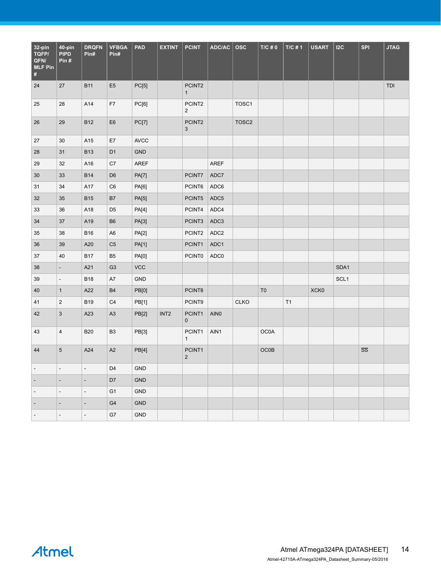| 32-pin<br>TQFP/<br>QFN/<br><b>MLF Pin</b><br>$\#$ | 40-pin<br><b>PIPD</b><br>Pin# | <b>DRQFN</b><br>Pin#     | <b>VFBGA</b><br>Pin# | <b>PAD</b>   | <b>EXTINT</b>    | <b>PCINT</b>             | ADC/AC           | <b>OSC</b>        | $T/C \# 0$     | $T/C \# 1$ | <b>USART</b> | 12C              | <b>SPI</b>             | <b>JTAG</b> |
|---------------------------------------------------|-------------------------------|--------------------------|----------------------|--------------|------------------|--------------------------|------------------|-------------------|----------------|------------|--------------|------------------|------------------------|-------------|
| 24                                                | 27                            | <b>B11</b>               | E <sub>5</sub>       | PC[5]        |                  | PCINT2<br>$\mathbf{1}$   |                  |                   |                |            |              |                  |                        | TDI         |
| 25                                                | 28                            | A14                      | F7                   | PC[6]        |                  | PCINT2<br>$\overline{2}$ |                  | TOSC1             |                |            |              |                  |                        |             |
| 26                                                | 29                            | <b>B12</b>               | E <sub>6</sub>       | <b>PC[7]</b> |                  | PCINT2<br>$\mathbf{3}$   |                  | TOSC <sub>2</sub> |                |            |              |                  |                        |             |
| 27                                                | 30                            | A15                      | E7                   | <b>AVCC</b>  |                  |                          |                  |                   |                |            |              |                  |                        |             |
| 28                                                | 31                            | <b>B13</b>               | D <sub>1</sub>       | <b>GND</b>   |                  |                          |                  |                   |                |            |              |                  |                        |             |
| 29                                                | 32                            | A16                      | C7                   | <b>AREF</b>  |                  |                          | <b>AREF</b>      |                   |                |            |              |                  |                        |             |
| $30\,$                                            | 33                            | <b>B14</b>               | D <sub>6</sub>       | <b>PA[7]</b> |                  | PCINT7                   | ADC7             |                   |                |            |              |                  |                        |             |
| 31                                                | 34                            | A17                      | C <sub>6</sub>       | PA[6]        |                  | PCINT6                   | ADC6             |                   |                |            |              |                  |                        |             |
| 32                                                | 35                            | <b>B15</b>               | B7                   | PA[5]        |                  | PCINT5                   | ADC <sub>5</sub> |                   |                |            |              |                  |                        |             |
| 33                                                | 36                            | A18                      | D <sub>5</sub>       | <b>PA[4]</b> |                  | PCINT4                   | ADC4             |                   |                |            |              |                  |                        |             |
| 34                                                | 37                            | A19                      | B <sub>6</sub>       | PA[3]        |                  | PCINT3                   | ADC3             |                   |                |            |              |                  |                        |             |
| 35                                                | 38                            | <b>B16</b>               | A <sub>6</sub>       | <b>PA[2]</b> |                  | PCINT2                   | ADC <sub>2</sub> |                   |                |            |              |                  |                        |             |
| 36                                                | 39                            | A20                      | C <sub>5</sub>       | <b>PA[1]</b> |                  | PCINT1                   | ADC1             |                   |                |            |              |                  |                        |             |
| 37                                                | 40                            | <b>B17</b>               | <b>B5</b>            | PA[0]        |                  | <b>PCINT0</b>            | ADC0             |                   |                |            |              |                  |                        |             |
| 38                                                | $\overline{a}$                | A21                      | G <sub>3</sub>       | <b>VCC</b>   |                  |                          |                  |                   |                |            |              | SDA1             |                        |             |
| 39                                                | $\overline{\phantom{a}}$      | <b>B18</b>               | A7                   | GND          |                  |                          |                  |                   |                |            |              | SCL <sub>1</sub> |                        |             |
| 40                                                | $\mathbf{1}$                  | A22                      | <b>B4</b>            | PB[0]        |                  | PCINT8                   |                  |                   | T <sub>0</sub> |            | XCK0         |                  |                        |             |
| 41                                                | $\overline{c}$                | <b>B19</b>               | C4                   | PB[1]        |                  | PCINT9                   |                  | <b>CLKO</b>       |                | T1         |              |                  |                        |             |
| 42                                                | $\mathbf{3}$                  | A23                      | $\mathsf{A}3$        | PB[2]        | INT <sub>2</sub> | PCINT1<br>$\pmb{0}$      | AIN <sub>0</sub> |                   |                |            |              |                  |                        |             |
| 43                                                | $\overline{4}$                | <b>B20</b>               | B <sub>3</sub>       | PB[3]        |                  | PCINT1<br>$\mathbf{1}$   | AIN1             |                   | OC0A           |            |              |                  |                        |             |
| 44                                                | $\overline{5}$                | A24                      | $\mathsf{A2}$        | PB[4]        |                  | PCINT1<br>$\overline{2}$ |                  |                   | OCOB           |            |              |                  | $\overline{\text{SS}}$ |             |
| $\overline{\phantom{a}}$                          | $\overline{\phantom{a}}$      | $\Box$                   | D <sub>4</sub>       | GND          |                  |                          |                  |                   |                |            |              |                  |                        |             |
|                                                   |                               | $\overline{a}$           | D7                   | GND          |                  |                          |                  |                   |                |            |              |                  |                        |             |
| $\overline{\phantom{a}}$                          | $\overline{\phantom{a}}$      | $\Box$                   | G <sub>1</sub>       | GND          |                  |                          |                  |                   |                |            |              |                  |                        |             |
|                                                   |                               | $\blacksquare$           | G4                   | <b>GND</b>   |                  |                          |                  |                   |                |            |              |                  |                        |             |
|                                                   | $\overline{\phantom{a}}$      | $\overline{\phantom{a}}$ | G7                   | GND          |                  |                          |                  |                   |                |            |              |                  |                        |             |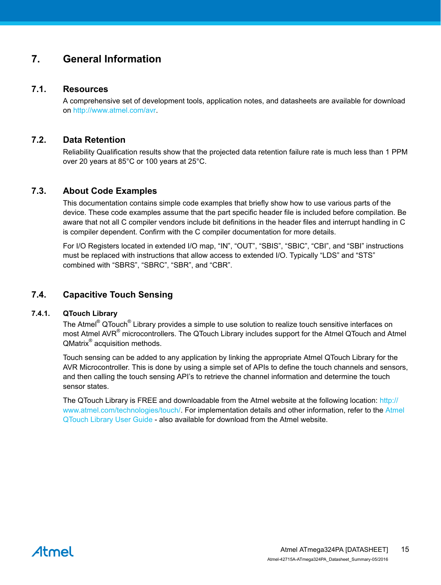## <span id="page-14-0"></span>**7. General Information**

#### **7.1. Resources**

A comprehensive set of development tools, application notes, and datasheets are available for download on [http://www.atmel.com/avr.](http://www.atmel.com/avr)

#### **7.2. Data Retention**

Reliability Qualification results show that the projected data retention failure rate is much less than 1 PPM over 20 years at 85°C or 100 years at 25°C.

#### **7.3. About Code Examples**

This documentation contains simple code examples that briefly show how to use various parts of the device. These code examples assume that the part specific header file is included before compilation. Be aware that not all C compiler vendors include bit definitions in the header files and interrupt handling in C is compiler dependent. Confirm with the C compiler documentation for more details.

For I/O Registers located in extended I/O map, "IN", "OUT", "SBIS", "SBIC", "CBI", and "SBI" instructions must be replaced with instructions that allow access to extended I/O. Typically "LDS" and "STS" combined with "SBRS", "SBRC", "SBR", and "CBR".

#### **7.4. Capacitive Touch Sensing**

#### **7.4.1. QTouch Library**

The Atmel<sup>®</sup> QTouch<sup>®</sup> Library provides a simple to use solution to realize touch sensitive interfaces on most Atmel AVR<sup>®</sup> microcontrollers. The QTouch Library includes support for the Atmel QTouch and Atmel QMatrix<sup>®</sup> acquisition methods.

Touch sensing can be added to any application by linking the appropriate Atmel QTouch Library for the AVR Microcontroller. This is done by using a simple set of APIs to define the touch channels and sensors, and then calling the touch sensing API's to retrieve the channel information and determine the touch sensor states.

The QTouch Library is FREE and downloadable from the Atmel website at the following location: [http://](http://www.atmel.com/technologies/touch/) [www.atmel.com/technologies/touch/](http://www.atmel.com/technologies/touch/). For implementation details and other information, refer to the [Atmel](http://www.atmel.com/dyn/resources/prod_documents/doc8207.pdf) [QTouch Library User Guide](http://www.atmel.com/dyn/resources/prod_documents/doc8207.pdf) - also available for download from the Atmel website.

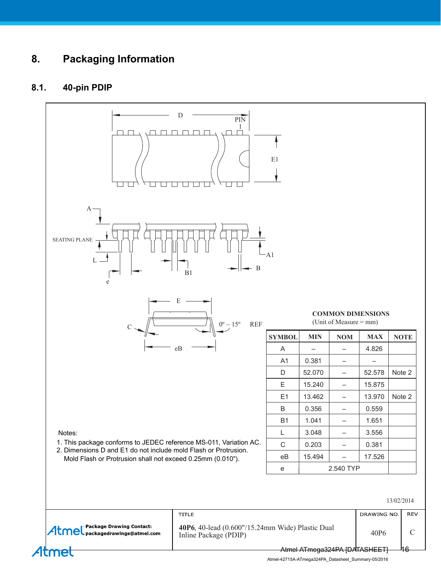## **8. Packaging Information**

### **8.1. 40-pin PDIP**



Atmel-42715A-ATmega324PA\_Datasheet\_Summary-05/2016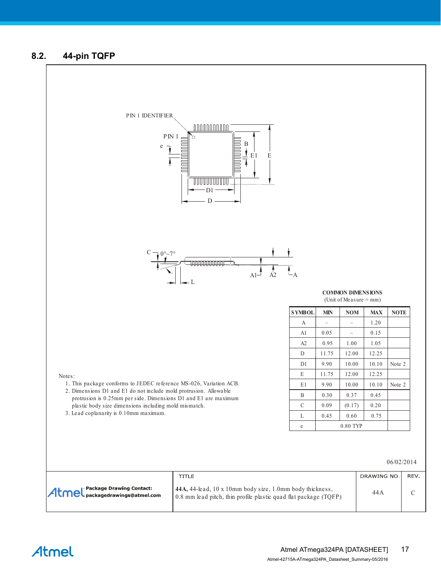#### **8.2. 44-pin TQFP**

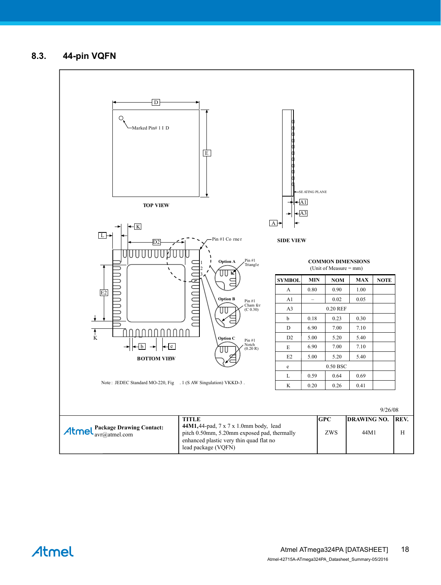**8.3. 44-pin VQFN**

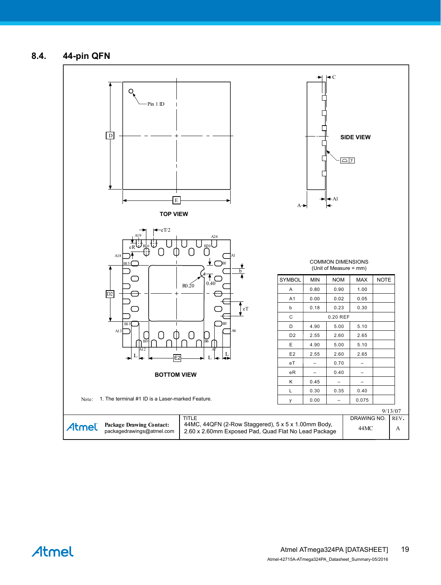**8.4. 44-pin QFN**

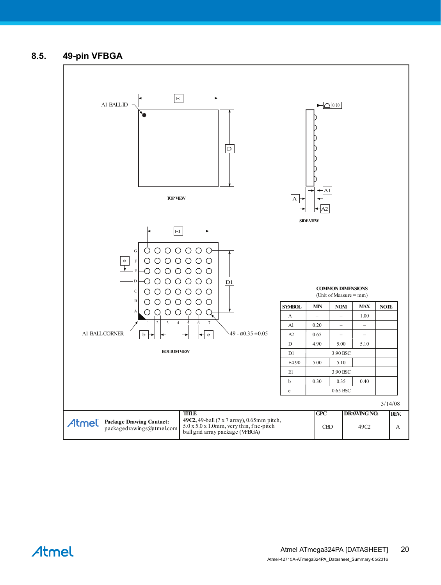#### **8.5. 49-pin VFBGA**